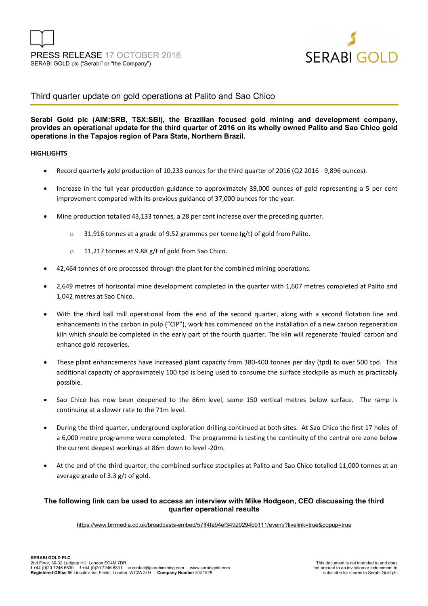

## Third quarter update on gold operations at Palito and Sao Chico

### **Serabi Gold plc (AIM:SRB, TSX:SBI), the Brazilian focused gold mining and development company, provides an operational update for the third quarter of 2016 on its wholly owned Palito and Sao Chico gold operations in the Tapajos region of Para State, Northern Brazil.**

### **HIGHLIGHTS**

- Record quarterly gold production of 10,233 ounces for the third quarter of 2016 (Q2 2016 9,896 ounces).
- Increase in the full year production guidance to approximately 39,000 ounces of gold representing a 5 per cent improvement compared with its previous guidance of 37,000 ounces for the year.
- Mine production totalled 43,133 tonnes, a 28 per cent increase over the preceding quarter.
	- $\circ$  31,916 tonnes at a grade of 9.52 grammes per tonne (g/t) of gold from Palito.
	- o 11,217 tonnes at 9.88 g/t of gold from Sao Chico.
- 42,464 tonnes of ore processed through the plant for the combined mining operations.
- 2,649 metres of horizontal mine development completed in the quarter with 1,607 metres completed at Palito and 1,042 metres at Sao Chico.
- With the third ball mill operational from the end of the second quarter, along with a second flotation line and enhancements in the carbon in pulp ("CIP"), work has commenced on the installation of a new carbon regeneration kiln which should be completed in the early part of the fourth quarter. The kiln will regenerate 'fouled' carbon and enhance gold recoveries.
- These plant enhancements have increased plant capacity from 380-400 tonnes per day (tpd) to over 500 tpd. This additional capacity of approximately 100 tpd is being used to consume the surface stockpile as much as practicably possible.
- Sao Chico has now been deepened to the 86m level, some 150 vertical metres below surface. The ramp is continuing at a slower rate to the 71m level.
- During the third quarter, underground exploration drilling continued at both sites. At Sao Chico the first 17 holes of a 6,000 metre programme were completed. The programme is testing the continuity of the central ore-zone below the current deepest workings at 86m down to level -20m.
- At the end of the third quarter, the combined surface stockpiles at Palito and Sao Chico totalled 11,000 tonnes at an average grade of 3.3 g/t of gold.

### **The following link can be used to access an interview with Mike Hodgson, CEO discussing the third quarter operational results**

https://www.brrmedia.co.uk/broadcasts-embed/57ff4fa94ef34929294b9111/event/?livelink=true&popup=true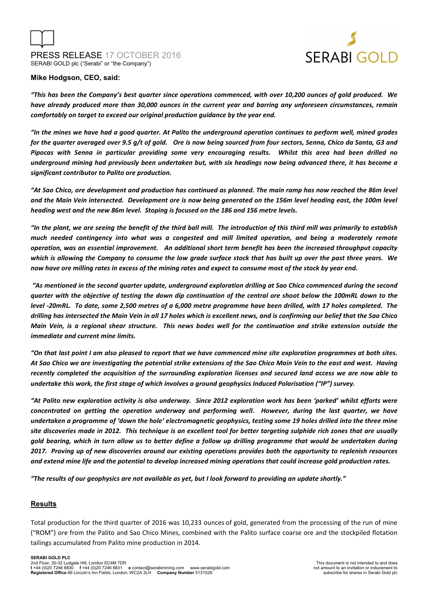



### **Mike Hodgson, CEO, said:**

*"This has been the Company's best quarter since operations commenced, with over 10,200 ounces of gold produced. We have already produced more than 30,000 ounces in the current year and barring any unforeseen circumstances, remain comfortably on target to exceed our original production guidance by the year end.* 

*"In the mines we have had a good quarter. At Palito the underground operation continues to perform well, mined grades for the quarter averaged over 9.5 g/t of gold. Ore is now being sourced from four sectors, Senna, Chico da Santa, G3 and Pipocas with Senna in particular providing some very encouraging results. Whilst this area had been drilled no underground mining had previously been undertaken but, with six headings now being advanced there, it has become a significant contributor to Palito ore production.* 

*"At Sao Chico, ore development and production has continued as planned. The main ramp has now reached the 86m level and the Main Vein intersected. Development ore is now being generated on the 156m level heading east, the 100m level heading west and the new 86m level. Stoping is focused on the 186 and 156 metre levels.* 

*"In the plant, we are seeing the benefit of the third ball mill. The introduction of this third mill was primarily to establish much needed contingency into what was a congested and mill limited operation, and being a moderately remote operation, was an essential improvement. An additional short term benefit has been the increased throughput capacity which is allowing the Company to consume the low grade surface stock that has built up over the past three years. We now have ore milling rates in excess of the mining rates and expect to consume most of the stock by year end.* 

 *"As mentioned in the second quarter update, underground exploration drilling at Sao Chico commenced during the second quarter with the objective of testing the down dip continuation of the central ore shoot below the 100mRL down to the level -20mRL. To date, some 2,500 metres of a 6,000 metre programme have been drilled, with 17 holes completed. The drilling has intersected the Main Vein in all 17 holes which is excellent news, and is confirming our belief that the Sao Chico Main Vein, is a regional shear structure. This news bodes well for the continuation and strike extension outside the immediate and current mine limits.* 

*"On that last point I am also pleased to report that we have commenced mine site exploration programmes at both sites. At Sao Chico we are investigating the potential strike extensions of the Sao Chico Main Vein to the east and west. Having recently completed the acquisition of the surrounding exploration licenses and secured land access we are now able to undertake this work, the first stage of which involves a ground geophysics Induced Polarisation ("IP") survey.* 

*"At Palito new exploration activity is also underway. Since 2012 exploration work has been 'parked' whilst efforts were concentrated on getting the operation underway and performing well. However, during the last quarter, we have undertaken a programme of 'down the hole' electromagnetic geophysics, testing some 19 holes drilled into the three mine site discoveries made in 2012. This technique is an excellent tool for better targeting sulphide rich zones that are usually gold bearing, which in turn allow us to better define a follow up drilling programme that would be undertaken during 2017. Proving up of new discoveries around our existing operations provides both the opportunity to replenish resources and extend mine life and the potential to develop increased mining operations that could increase gold production rates.* 

*"The results of our geophysics are not available as yet, but I look forward to providing an update shortly."* 

### **Results**

Total production for the third quarter of 2016 was 10,233 ounces of gold, generated from the processing of the run of mine ("ROM") ore from the Palito and Sao Chico Mines, combined with the Palito surface coarse ore and the stockpiled flotation tailings accumulated from Palito mine production in 2014.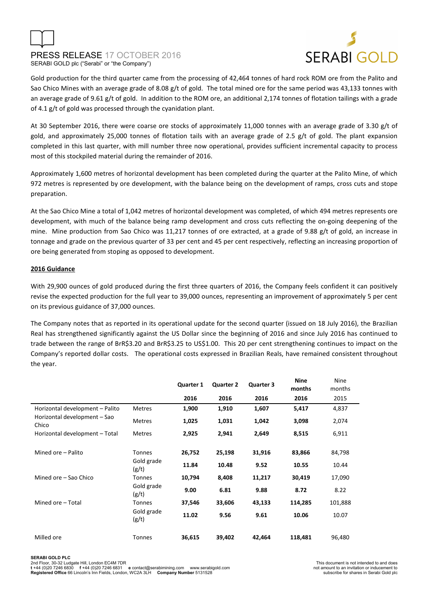## PRESS RELEASE 17 OCTOBER 2016 SERABI GOLD plc ("Serabi" or "the Company")



Gold production for the third quarter came from the processing of 42,464 tonnes of hard rock ROM ore from the Palito and Sao Chico Mines with an average grade of 8.08 g/t of gold. The total mined ore for the same period was 43,133 tonnes with an average grade of 9.61 g/t of gold. In addition to the ROM ore, an additional 2,174 tonnes of flotation tailings with a grade of 4.1 g/t of gold was processed through the cyanidation plant.

At 30 September 2016, there were coarse ore stocks of approximately 11,000 tonnes with an average grade of 3.30 g/t of gold, and approximately 25,000 tonnes of flotation tails with an average grade of 2.5 g/t of gold. The plant expansion completed in this last quarter, with mill number three now operational, provides sufficient incremental capacity to process most of this stockpiled material during the remainder of 2016.

Approximately 1,600 metres of horizontal development has been completed during the quarter at the Palito Mine, of which 972 metres is represented by ore development, with the balance being on the development of ramps, cross cuts and stope preparation.

At the Sao Chico Mine a total of 1,042 metres of horizontal development was completed, of which 494 metres represents ore development, with much of the balance being ramp development and cross cuts reflecting the on-going deepening of the mine. Mine production from Sao Chico was 11,217 tonnes of ore extracted, at a grade of 9.88 g/t of gold, an increase in tonnage and grade on the previous quarter of 33 per cent and 45 per cent respectively, reflecting an increasing proportion of ore being generated from stoping as opposed to development.

### **2016 Guidance**

With 29,900 ounces of gold produced during the first three quarters of 2016, the Company feels confident it can positively revise the expected production for the full year to 39,000 ounces, representing an improvement of approximately 5 per cent on its previous guidance of 37,000 ounces.

The Company notes that as reported in its operational update for the second quarter (issued on 18 July 2016), the Brazilian Real has strengthened significantly against the US Dollar since the beginning of 2016 and since July 2016 has continued to trade between the range of BrR\$3.20 and BrR\$3.25 to US\$1.00. This 20 per cent strengthening continues to impact on the Company's reported dollar costs. The operational costs expressed in Brazilian Reals, have remained consistent throughout the year.

|                                                                          |                     | <b>Quarter 1</b> | <b>Quarter 2</b> | <b>Quarter 3</b> | <b>Nine</b><br>months | Nine<br>months |
|--------------------------------------------------------------------------|---------------------|------------------|------------------|------------------|-----------------------|----------------|
|                                                                          |                     | 2016             | 2016             | 2016             | 2016                  | 2015           |
| Horizontal development - Palito<br>Horizontal development - Sao<br>Chico | <b>Metres</b>       | 1,900            | 1,910            | 1,607            | 5,417                 | 4,837          |
|                                                                          | <b>Metres</b>       | 1,025            | 1,031            | 1,042            | 3,098                 | 2,074          |
| Horizontal development - Total                                           | <b>Metres</b>       | 2,925            | 2,941            | 2,649            | 8,515                 | 6,911          |
|                                                                          |                     |                  |                  |                  |                       |                |
| Mined ore - Palito                                                       | <b>Tonnes</b>       | 26,752           | 25,198           | 31,916           | 83,866                | 84,798         |
|                                                                          | Gold grade<br>(g/t) | 11.84            | 10.48            | 9.52             | 10.55                 | 10.44          |
| Mined ore - Sao Chico                                                    | <b>Tonnes</b>       | 10,794           | 8,408            | 11,217           | 30,419                | 17,090         |
|                                                                          | Gold grade<br>(g/t) | 9.00             | 6.81             | 9.88             | 8.72                  | 8.22           |
| Mined ore - Total                                                        | Tonnes              | 37,546           | 33,606           | 43,133           | 114,285               | 101,888        |
|                                                                          | Gold grade<br>(g/t) | 11.02            | 9.56             | 9.61             | 10.06                 | 10.07          |
| Milled ore                                                               | <b>Tonnes</b>       | 36,615           | 39,402           | 42,464           | 118,481               | 96,480         |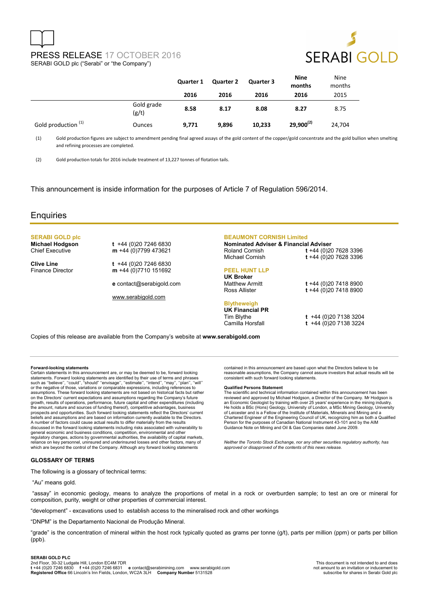# PRESS RELEASE 17 OCTOBER 2016 SERABI GOLD plc ("Serabi" or "the Company")



|                     |                     | Quarter 1 | <b>Quarter 2</b> | <b>Quarter 3</b> | <b>Nine</b><br>months | Nine<br>months |
|---------------------|---------------------|-----------|------------------|------------------|-----------------------|----------------|
|                     |                     | 2016      | 2016             | 2016             | 2016                  | 2015           |
|                     | Gold grade<br>(g/t) | 8.58      | 8.17             | 8.08             | 8.27                  | 8.75           |
| Gold production (1) | <b>Ounces</b>       | 9,771     | 9,896            | 10,233           | $29,900^{(2)}$        | 24,704         |

(1) Gold production figures are subject to amendment pending final agreed assays of the gold content of the copper/gold concentrate and the gold bullion when smelting and refining processes are completed.

(2) Gold production totals for 2016 include treatment of 13,227 tonnes of flotation tails.

This announcement is inside information for the purposes of Article 7 of Regulation 596/2014.

### **Enquiries**

# **SERABI GOLD plc**

**Michael Hodgson t** +44 (0)20 7246 6830<br>Chief Executive **m** +44 (0)7799 473621 m +44 (0)7799 473621

**Clive Line** t +44 (0)20 7246 6830<br>Finance Director **m** +44 (0)7710 151692 m +44 (0)7710 151692

**e** contact@serabigold.com

www.serabigold.com

#### **BEAUMONT CORNISH Limited**

| <b>Nominated Adviser &amp; Financial Adviser</b> |                          |
|--------------------------------------------------|--------------------------|
| Roland Cornish                                   | t +44 (0)20 7628 3396    |
| Michael Cornish                                  | t +44 (0)20 7628 3396    |
| <b>PEEL HUNT LLP</b>                             |                          |
| UK Broker                                        |                          |
| <b>Matthew Armitt</b>                            | $t + 44 (0)20 7418 8900$ |
| Ross Allister                                    | t +44 (0)20 7418 8900    |
| <b>Blytheweigh</b>                               |                          |

contained in this announcement are based upon what the Directors believe to be reasonable assumptions, the Company cannot assure investors that actual results will be consistent with such forward looking statements. **Qualified Persons Statement**<br>The scientific and technical information contained within this announcement has been The scientific and technical information contained within this announcement has been<br>reviewed and approved by Michael Hodgson, a Director of the Company. Mr Hodgson is<br>an Economic Geologist by training with over 25 years'

Chartered Engineer of the Engineering Council of UK, recognizing him as both a Qualified Person for the purposes of Canadian National Instrument 43-101 and by the AIM

*Neither the Toronto Stock Exchange, nor any other securities regulatory authority, has approved or disapproved of the contents of this news release.*

Guidance Note on Mining and Oil & Gas Companies dated June 2009.

## **UK Financial PR**

Tim Blythe **t** +44 (0)20 7138 3204 Camilla Horsfall **t** +44 (0)20 7138 3224

Copies of this release are available from the Company's website at **www.serabigold.com** 

#### **Forward-looking statements**

Certain statements in this announcement are, or may be deemed to be, forward looking<br>statements. Forward looking statements are identified by their use of terms and phrases<br>such as "believe", "could", "should" "envisage", or the negative of those, variations or comparable expressions, including references to assumptions. These forward looking statements are not based on historical facts but rather on the Directors' current expectations and assumptions regarding the Company's future growth, results of operations, performance, future capital and other expenditures (including<br>the amount, nature and sources of funding thereof), competitive advantages, business<br>prospects and opportunities. Such forward lo beliefs and assumptions and are based on information currently available to the Directors. A number of factors could cause actual results to differ materially from the results discussed in the forward looking statements including risks associated with vulnerability to general economic and business conditions, competition, environmental and other regulatory changes, actions by governmental authorities, the availability of capital markets, reliance on key personnel, uninsured and underinsured losses and other factors, many of which are beyond the control of the Company. Although any forward looking statements

### **GLOSSARY OF TERMS**

The following is a glossary of technical terms:

"Au" means gold.

 "assay" in economic geology, means to analyze the proportions of metal in a rock or overburden sample; to test an ore or mineral for composition, purity, weight or other properties of commercial interest.

"development" - excavations used to establish access to the mineralised rock and other workings

"DNPM" is the Departamento Nacional de Produção Mineral.

"grade" is the concentration of mineral within the host rock typically quoted as grams per tonne (g/t), parts per million (ppm) or parts per billion (ppb).